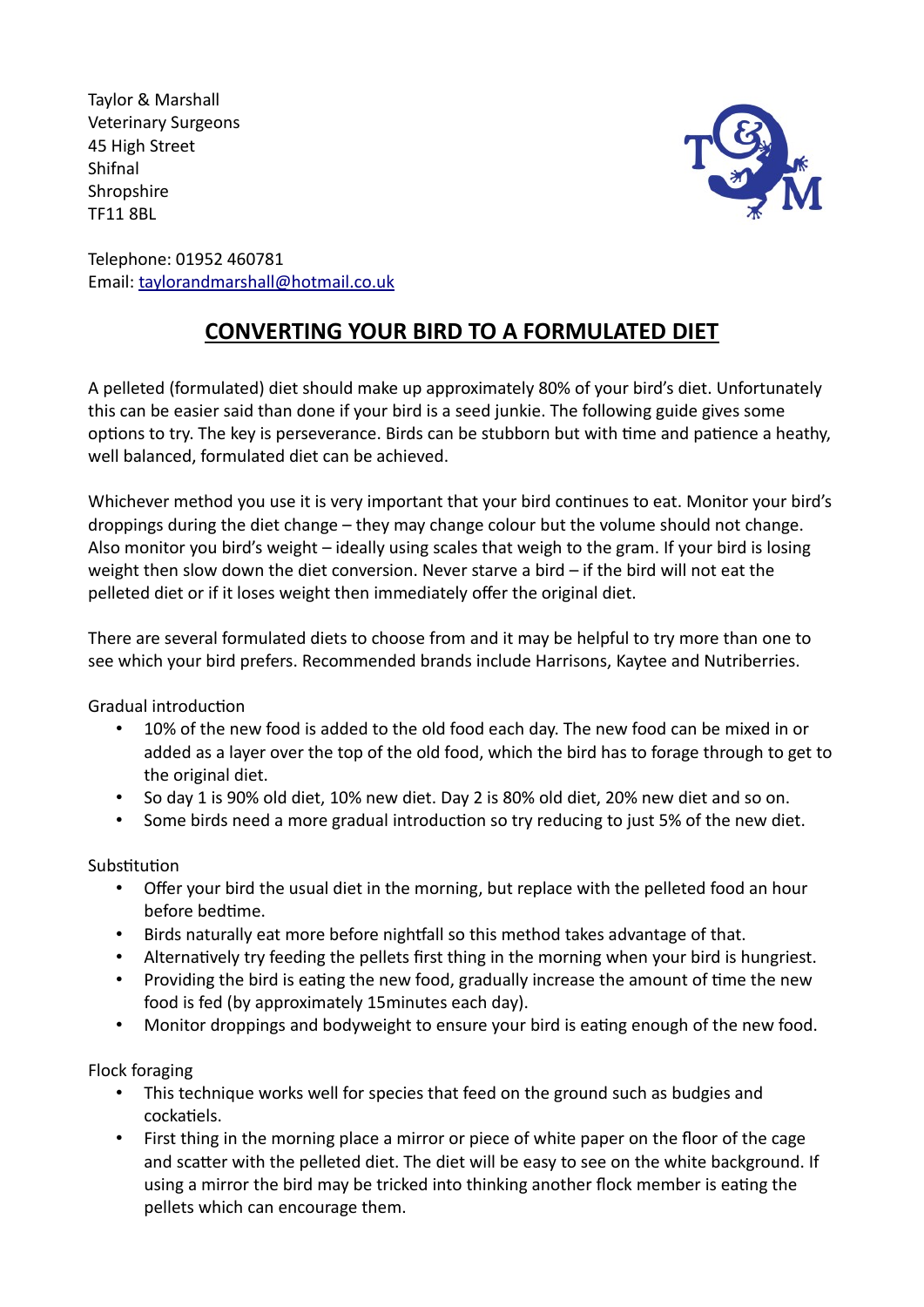Taylor & Marshall Veterinary Surgeons 45 High Street Shifnal **Shropshire** TF11 8BL



Telephone: 01952 460781 Email: taylorandmarshall@hotmail.co.uk

## **CONVERTING YOUR BIRD TO A FORMULATED DIET**

A pelleted (formulated) diet should make up approximately 80% of your bird's diet. Unfortunately this can be easier said than done if your bird is a seed junkie. The following guide gives some options to try. The key is perseverance. Birds can be stubborn but with time and patience a heathy, well balanced, formulated diet can be achieved.

Whichever method you use it is very important that your bird continues to eat. Monitor your bird's droppings during the diet change – they may change colour but the volume should not change. Also monitor you bird's weight – ideally using scales that weigh to the gram. If your bird is losing weight then slow down the diet conversion. Never starve a bird – if the bird will not eat the pelleted diet or if it loses weight then immediately offer the original diet.

There are several formulated diets to choose from and it may be helpful to try more than one to see which your bird prefers. Recommended brands include Harrisons, Kaytee and Nutriberries.

Gradual introduction

- 10% of the new food is added to the old food each day. The new food can be mixed in or added as a layer over the top of the old food, which the bird has to forage through to get to the original diet.
- So day 1 is 90% old diet, 10% new diet. Day 2 is 80% old diet, 20% new diet and so on.
- Some birds need a more gradual introduction so try reducing to just 5% of the new diet.

Substitution

- Offer your bird the usual diet in the morning, but replace with the pelleted food an hour before bedtime.
- Birds naturally eat more before nightfall so this method takes advantage of that.
- Alternatively try feeding the pellets first thing in the morning when your bird is hungriest.
- Providing the bird is eating the new food, gradually increase the amount of time the new food is fed (by approximately 15minutes each day).
- Monitor droppings and bodyweight to ensure your bird is eating enough of the new food.

Flock foraging

- This technique works well for species that feed on the ground such as budgies and cockatiels.
- First thing in the morning place a mirror or piece of white paper on the floor of the cage and scatter with the pelleted diet. The diet will be easy to see on the white background. If using a mirror the bird may be tricked into thinking another flock member is eating the pellets which can encourage them.